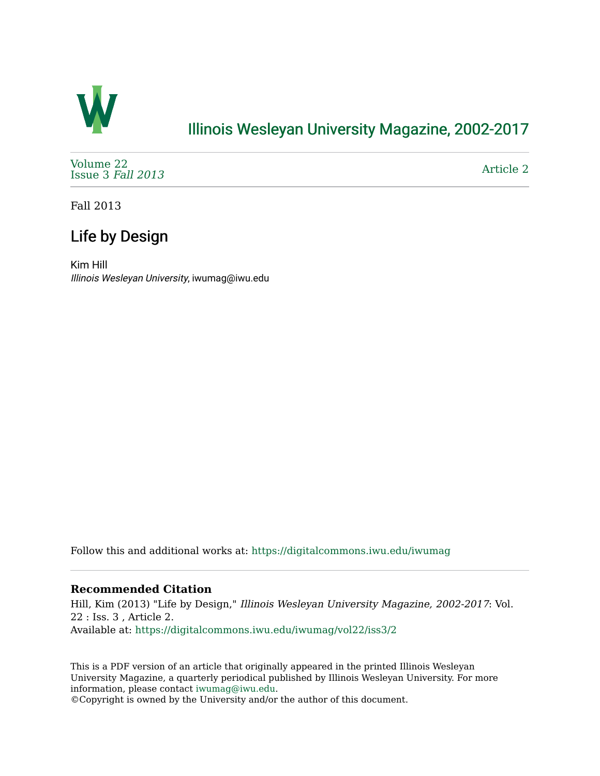

## [Illinois Wesleyan University Magazine, 2002-2017](https://digitalcommons.iwu.edu/iwumag)

[Volume 22](https://digitalcommons.iwu.edu/iwumag/vol22)  [Issue 3](https://digitalcommons.iwu.edu/iwumag/vol22/iss3) Fall 2013

[Article 2](https://digitalcommons.iwu.edu/iwumag/vol22/iss3/2) 

Fall 2013

# Life by Design

Kim Hill Illinois Wesleyan University, iwumag@iwu.edu

Follow this and additional works at: [https://digitalcommons.iwu.edu/iwumag](https://digitalcommons.iwu.edu/iwumag?utm_source=digitalcommons.iwu.edu%2Fiwumag%2Fvol22%2Fiss3%2F2&utm_medium=PDF&utm_campaign=PDFCoverPages) 

### **Recommended Citation**

Hill, Kim (2013) "Life by Design," Illinois Wesleyan University Magazine, 2002-2017: Vol. 22 : Iss. 3 , Article 2. Available at: [https://digitalcommons.iwu.edu/iwumag/vol22/iss3/2](https://digitalcommons.iwu.edu/iwumag/vol22/iss3/2?utm_source=digitalcommons.iwu.edu%2Fiwumag%2Fvol22%2Fiss3%2F2&utm_medium=PDF&utm_campaign=PDFCoverPages)

This is a PDF version of an article that originally appeared in the printed Illinois Wesleyan University Magazine, a quarterly periodical published by Illinois Wesleyan University. For more information, please contact [iwumag@iwu.edu](mailto:iwumag@iwu.edu).

©Copyright is owned by the University and/or the author of this document.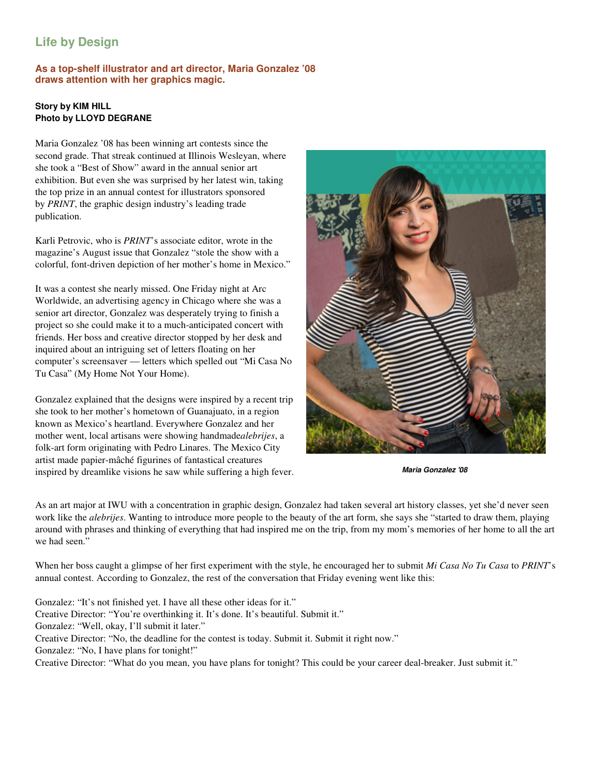### **Life by Design**

### **As a top-shelf illustrator and art director, Maria Gonzalez '08 draws attention with her graphics magic.**

### **Story by KIM HILL Photo by LLOYD DEGRANE**

Maria Gonzalez '08 has been winning art contests since the second grade. That streak continued at Illinois Wesleyan, where she took a "Best of Show" award in the annual senior art exhibition. But even she was surprised by her latest win, taking the top prize in an annual contest for illustrators sponsored by *PRINT*, the graphic design industry's leading trade publication.

Karli Petrovic, who is *PRINT*'s associate editor, wrote in the magazine's August issue that Gonzalez "stole the show with a colorful, font-driven depiction of her mother's home in Mexico."

It was a contest she nearly missed. One Friday night at Arc Worldwide, an advertising agency in Chicago where she was a senior art director, Gonzalez was desperately trying to finish a project so she could make it to a much-anticipated concert with friends. Her boss and creative director stopped by her desk and inquired about an intriguing set of letters floating on her computer's screensaver — letters which spelled out "Mi Casa No Tu Casa" (My Home Not Your Home).

Gonzalez explained that the designs were inspired by a recent trip she took to her mother's hometown of Guanajuato, in a region known as Mexico's heartland. Everywhere Gonzalez and her mother went, local artisans were showing handmade*alebrijes*, a folk-art form originating with Pedro Linares. The Mexico City artist made papier-mâché figurines of fantastical creatures inspired by dreamlike visions he saw while suffering a high fever.



**Maria Gonzalez '08**

As an art major at IWU with a concentration in graphic design, Gonzalez had taken several art history classes, yet she'd never seen work like the *alebrijes*. Wanting to introduce more people to the beauty of the art form, she says she "started to draw them, playing around with phrases and thinking of everything that had inspired me on the trip, from my mom's memories of her home to all the art we had seen."

When her boss caught a glimpse of her first experiment with the style, he encouraged her to submit *Mi Casa No Tu Casa* to *PRINT*'s annual contest. According to Gonzalez, the rest of the conversation that Friday evening went like this:

Gonzalez: "It's not finished yet. I have all these other ideas for it." Creative Director: "You're overthinking it. It's done. It's beautiful. Submit it." Gonzalez: "Well, okay, I'll submit it later." Creative Director: "No, the deadline for the contest is today. Submit it. Submit it right now." Gonzalez: "No, I have plans for tonight!" Creative Director: "What do you mean, you have plans for tonight? This could be your career deal-breaker. Just submit it."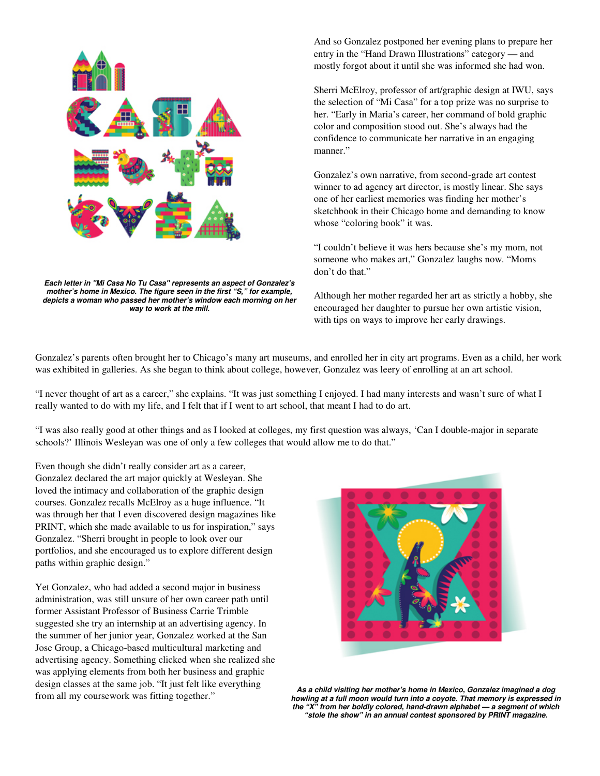

**Each letter in "Mi Casa No Tu Casa" represents an aspect of Gonzalez's mother's home in Mexico. The figure seen in the first "S," for example, depicts a woman who passed her mother's window each morning on her way to work at the mill.**

And so Gonzalez postponed her evening plans to prepare her entry in the "Hand Drawn Illustrations" category — and mostly forgot about it until she was informed she had won.

Sherri McElroy, professor of art/graphic design at IWU, says the selection of "Mi Casa" for a top prize was no surprise to her. "Early in Maria's career, her command of bold graphic color and composition stood out. She's always had the confidence to communicate her narrative in an engaging manner."

Gonzalez's own narrative, from second-grade art contest winner to ad agency art director, is mostly linear. She says one of her earliest memories was finding her mother's sketchbook in their Chicago home and demanding to know whose "coloring book" it was.

"I couldn't believe it was hers because she's my mom, not someone who makes art," Gonzalez laughs now. "Moms don't do that."

Although her mother regarded her art as strictly a hobby, she encouraged her daughter to pursue her own artistic vision, with tips on ways to improve her early drawings.

Gonzalez's parents often brought her to Chicago's many art museums, and enrolled her in city art programs. Even as a child, her work was exhibited in galleries. As she began to think about college, however, Gonzalez was leery of enrolling at an art school.

"I never thought of art as a career," she explains. "It was just something I enjoyed. I had many interests and wasn't sure of what I really wanted to do with my life, and I felt that if I went to art school, that meant I had to do art.

"I was also really good at other things and as I looked at colleges, my first question was always, 'Can I double-major in separate schools?' Illinois Wesleyan was one of only a few colleges that would allow me to do that."

Even though she didn't really consider art as a career, Gonzalez declared the art major quickly at Wesleyan. She loved the intimacy and collaboration of the graphic design courses. Gonzalez recalls McElroy as a huge influence. "It was through her that I even discovered design magazines like PRINT, which she made available to us for inspiration," says Gonzalez. "Sherri brought in people to look over our portfolios, and she encouraged us to explore different design paths within graphic design."

Yet Gonzalez, who had added a second major in business administration, was still unsure of her own career path until former Assistant Professor of Business Carrie Trimble suggested she try an internship at an advertising agency. In the summer of her junior year, Gonzalez worked at the San Jose Group, a Chicago-based multicultural marketing and advertising agency. Something clicked when she realized she was applying elements from both her business and graphic design classes at the same job. "It just felt like everything from all my coursework was fitting together."



**As a child visiting her mother's home in Mexico, Gonzalez imagined a dog howling at a full moon would turn into a coyote. That memory is expressed in the "X" from her boldly colored, hand-drawn alphabet — a segment of which "stole the show" in an annual contest sponsored by PRINT magazine.**